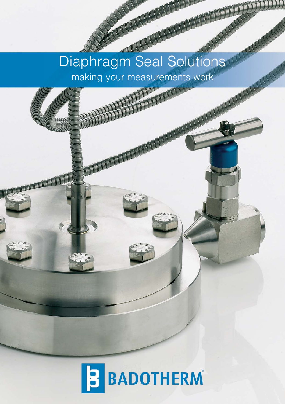# Diaphragm Seal Solutions and Martin making your measurements work

**SALARDADERS** 

**MARKATTIN** 

WATCH

KRICK CRICK CRICK CRICK

AMARACCI

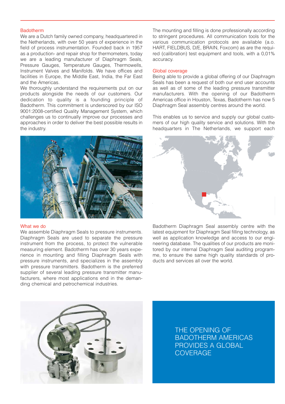### Badotherm

We are a Dutch family owned company, headquartered in the Netherlands, with over 50 years of experience in the field of process instrumentation. Founded back in 1957 as a production- and repair shop for thermometers, today we are a leading manufacturer of Diaphragm Seals, Pressure Gauges, Temperature Gauges, Thermowells, Instrument Valves and Manifolds. We have offices and facilities in Europe, the Middle East, India, the Far East and the Americas.

We thoroughly understand the requirements put on our products alongside the needs of our customers. Our dedication to quality is a founding principle of Badotherm. This commitment is underscored by our ISO 9001:2008-certified Quality Management System, which challenges us to continually improve our processes and approaches in order to deliver the best possible results in the industry.



### What we do

We assemble Diaphragm Seals to pressure instruments. Diaphragm Seals are used to separate the pressure instrument from the process, to protect the vulnerable measuring element. Badotherm has over 30 years experience in mounting and filling Diaphragm Seals with pressure instruments, and specializes in the assembly with pressure transmitters. Badotherm is the preferred supplier of several leading pressure transmitter manufacturers, where most applications end in the demanding chemical and petrochemical industries.

The mounting and filling is done professionally according to stringent procedures. All communication tools for the various communication protocols are available (a.o. HART, FIELDBUS, D/E, BRAIN, Foxcom) as are the required (calibration) test equipment and tools, with a 0,01% accuracy.

### Global coverage

Being able to provide a global offering of our Diaphragm Seals has been a request of both our end user accounts as well as of some of the leading pressure transmitter manufacturers. With the opening of our Badotherm Americas office in Houston, Texas, Badotherm has now 5 Diaphragm Seal assembly centres around the world.

This enables us to service and supply our global customers of our high quality service and solutions. With the headquarters in The Netherlands, we support each



Badotherm Diaphragm Seal assembly centre with the latest equipment for Diaphragm Seal filling technology, as well as application knowledge and access to our engineering database. The qualities of our products are monitored by our internal Diaphragm Seal auditing programme, to ensure the same high quality standards of products and services all over the world.



THE OPENING OF BADOTHERM AMERICAS PROVIDES A GLOBAL **COVERAGE**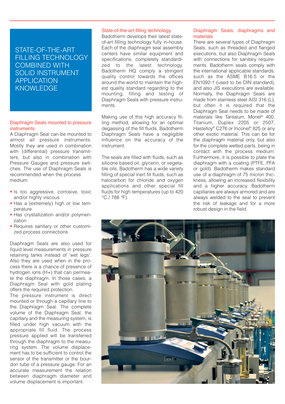# STATE-OF-THE-ART FILLING TECHNOLOGY COMBINED WITH SOLID INSTRUMENT APPLICATION **KNOWLEDGE**

### Diaphragm Seals mounted to pressure instruments

A Diaphragm Seal can be mounted to almost all pressure instruments. Mostly they are used in combination with (differential) pressure transmitters, but also in combination with Pressure Gauges and pressure switches. The use of Diaphragm Seals is recommended when the process medium:

- Is too aggressive, corrosive, toxic and/or highly viscous
- Has a (extremely) high or low temperature
- Has crystallization and/or polymerization
- Requires sanitary or other customized process connections

Diaphragm Seals are also used for liquid level measurements in pressure retaining tanks instead of 'wet legs'. Also they are used when in the process there is a chance of presence of hydrogen ions (H+) that can permeate the diaphragm. In those cases, a Diaphragm Seal with gold plating offers the required protection.

The pressure instrument is direct mounted or through a capillary line to the Diaphragm Seal. The complete volume of the Diaphragm Seal, the capillary and the measuring system, is filled under high vacuum with the appropriate fill fluid. The process pressure applied will be transferred through the diaphragm to the measuring system. The volume displacement has to be sufficient to control the sensor of the transmitter or the bourdon tube of a pressure gauge. For an accurate measurement the relation between diaphragm diameter and volume displacement is important.

### State-of-the-art filling technology

Badotherm develops their latest stateof-art filling technology fully in-house. Each of the diaphragm seal assembly centers have similar equipment and specifications, completely standardized to the latest technology. Badotherm HQ comply a stringent quality control towards the offices around the world to maintain the highest quality standard regarding to the mounting, filling and testing of Diaphragm Seals with pressure instruments.

Making use of this high accuracy filling method, allowing for an optimal degassing of the fill fluids, Badotherm Diaphragm Seals have a negligible influence on the accuracy of the instrument.

The seals are filled with fluids, such as silicone based oil, glycerin, or vegetable oils. Badotherm has a wide variety filling of special inert fill fluids, such as halocarbon for chloride and oxygen applications and other special fill fluids for high temperatures (up to 420 °C / 788 °F).

### Diaphragm Seals, diaphragms and materials

There are several types of Diaphragm Seals, such as threaded and flanged executions, but also Diaphragm Seals with connections for sanitary requirements. Badotherm seals comply with the international applicable standards, such as the ASME B16.5 or the EN1092-1 (used to be DIN standard), and also JIS executions are available. Normally, the Diaphragm Seals are made from stainless steel AISI 316 (L), but often it is required that the Diaphragm Seal needs to be made of materials like Tantalum, Monel® 400, Titanium, Duplex 2205 or 2507, Hastelloy® C276 or Inconel® 825 or any other exotic material. This can be for the diaphragm material only, but also for the complete wetted parts, being in contact with the process medium. Furthermore, it is possible to plate the diaphragm with a coating (PTFE, PFA or gold). Badotherm makes standard use of a diaphragm of 75 micron thickness, allowing an increased flexibility and a higher accuracy. Badotherm capillaries are always armored and are always welded to the seal to prevent the risk of leakage and for a more robust design in the field.

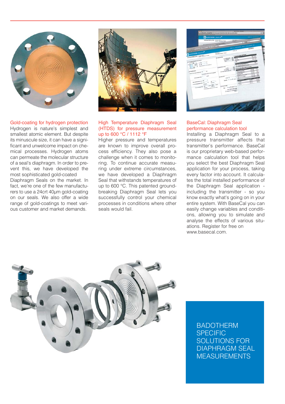

Gold-coating for hydrogen protection Hydrogen is nature's simplest and smallest atomic element. But despite its minuscule size, it can have a significant and unwelcome impact on chemical processes. Hydrogen atoms can permeate the molecular structure of a seal's diaphragm. In order to prevent this, we have developed the most sophisticated gold-coated Diaphragm Seals on the market. In fact, we're one of the few manufacturers to use a 24crt 40µm gold-coating on our seals. We also offer a wide range of gold-coatings to meet various customer and market demands.



# High Temperature Diaphragm Seal (HTDS) for pressure measurement up to 600 °C / 1112 °F

Higher pressure and temperatures are known to improve overall process efficiency. They also pose a challenge when it comes to monitoring. To continue accurate measuring under extreme circumstances, we have developed a Diaphragm Seal that withstands temperatures of up to 600 °C. This patented groundbreaking Diaphragm Seal lets you successfully control your chemical processes in conditions where other seals would fail.

|                                             | Andrew Federator &<br><b>PERSONAL</b><br><b>SADOTHERM BaseCal<sup>es</sup></b><br>H                                   | (F) (C) (F) (A) (F) are completely electronically decay to the first |                                                       |                                                                                                 |                                 |
|---------------------------------------------|-----------------------------------------------------------------------------------------------------------------------|----------------------------------------------------------------------|-------------------------------------------------------|-------------------------------------------------------------------------------------------------|---------------------------------|
|                                             | <b>CALCULATION 21943</b>                                                                                              | Tel: No. Sule 1<br>PAS ART - Editorate Man Pedrillo                  | <b><i>STACIONS</i></b><br><b>USEANS</b>               | g)                                                                                              | K)                              |
|                                             | <b>El rigiliat alumino</b>                                                                                            | <b>Analysis and Concerning the Concerning</b>                        |                                                       |                                                                                                 |                                 |
|                                             | the state of the company of the company of the company of the company of the company of the company of the company of |                                                                      |                                                       | Landship Three Lands, Lands & Contractors, Ltd.<br><b>MARINE</b>                                |                                 |
|                                             |                                                                                                                       |                                                                      | $m + 4$                                               |                                                                                                 |                                 |
| <b>LADDINIKIA BENCARO</b>                   | PEACY LINEARCH FALSE                                                                                                  | <b>WILLIAM County Prints</b>                                         | <b>CHANNEL BY COME</b>                                | <b>OR OTHER</b>                                                                                 |                                 |
| <b>CALCULATION (194)</b> Inc. or tux 1      |                                                                                                                       | <b>IT WANTED</b><br><b>Ave Armed</b>                                 | <b>Card</b>                                           | <b>MAIN</b><br><b>WAT ONE</b>                                                                   |                                 |
| <b>ES minimismo inserigas losa crecia y</b> | $\rightarrow$                                                                                                         | Top <i>Views</i><br>nell?                                            | <b>SHEWER</b><br>٠<br>÷                               |                                                                                                 | an i                            |
| $\alpha$ <sup>10</sup><br>$n =$             | $\sim$<br><b>Science between the Solicitories</b>                                                                     |                                                                      |                                                       | <b>OF ASSAULT COMPANY</b><br>where beginning women                                              | M <sup>1</sup>                  |
|                                             |                                                                                                                       | <b>TEMPERATURE</b><br>$-1$                                           |                                                       | <b><i>APOSTOR SEAL PERFORMANCE</i></b>                                                          |                                 |
| <b>STANDARD</b>                             | 1m                                                                                                                    | test bank of<br><b>WARRANTEE</b> WAS TIN                             | <b><i><u>CONTRACTORY</u></i></b>                      | Like site<br><b>STEWART</b>                                                                     | <b>Lan</b><br><b>VIE</b><br>Lan |
| <b>STATISTICS IN THE WAY </b>               | (I) conduct connections is negated                                                                                    |                                                                      | <b>And of Security</b><br><b><i><u>months</u></i></b> | List man<br>ALCOHOL:                                                                            | <b>SOF</b><br>100               |
| <b>March or count front 1</b>               | and in                                                                                                                | <b>ISSUALIA</b><br>seem 1.6                                          |                                                       | <b>Anderson Street, Square</b><br><b>Life asks</b><br><b>Dalla Greven aller</b><br><b>LIGHT</b> | <b>SMR</b>                      |
|                                             | ×                                                                                                                     |                                                                      | ×<br><b>North Client &amp; Lon</b>                    | LACING.                                                                                         | LEM<br><b>LOGISHI</b>           |
| <b>Ball American Street, SQ</b>             |                                                                                                                       |                                                                      | 6.91<br><b>SOFT</b>                                   | <b>AMMI</b><br>$4, 50$ m <sup>2</sup> .                                                         | Labor.                          |
| <b>Andrew Members Supply</b>                | signed.<br>$-$<br>sist <sup>4</sup><br>salesti<br>w                                                                   | staffs.<br><b>STAGNANO</b>                                           | $a \in \mathbb{R}$                                    |                                                                                                 |                                 |
| <b>Property designations</b>                | point present elevent calculated                                                                                      |                                                                      | hart Classification Class<br><b>AMERICAN</b>          |                                                                                                 |                                 |
|                                             |                                                                                                                       |                                                                      | <b>C</b> handwide a composition is                    |                                                                                                 |                                 |
|                                             |                                                                                                                       |                                                                      |                                                       |                                                                                                 |                                 |
|                                             |                                                                                                                       |                                                                      |                                                       |                                                                                                 |                                 |
|                                             |                                                                                                                       |                                                                      |                                                       |                                                                                                 |                                 |
|                                             |                                                                                                                       |                                                                      |                                                       |                                                                                                 |                                 |

# BaseCal: Diaphragm Seal performance calculation tool

Installing a Diaphragm Seal to a pressure transmitter affects that transmitter's performance. BaseCal is our proprietary web-based performance calculation tool that helps you select the best Diaphragm Seal application for your process, taking every factor into account. It calculates the total installed performance of the Diaphragm Seal application including the transmitter - so you know exactly what's going on in your entire system. With BaseCal you can easily change variables and conditions, allowing you to simulate and analyse the effects of various situations. Register for free on www.basecal.com.



BADOTHERM **SPECIFIC** SOLUTIONS FOR DIAPHRAGM SEAL MEASUREMENTS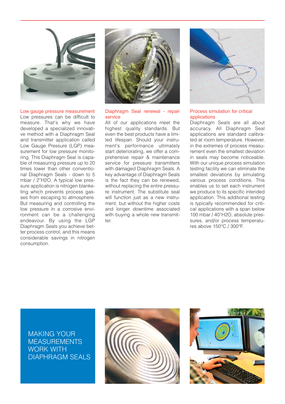

Low gauge pressure measurement Low pressures can be difficult to measure. That's why we have developed a specialized innovative method with a Diaphragm Seal and transmitter application called Low Gauge Pressure (LGP) measurement for low pressure monitoring. This Diaphragm Seal is capable of measuring pressure up to 20 times lower than other conventional Diaphragm Seals - down to 5 mbar / 2"H2O. A typical low pressure application is nitrogen blanketing which prevents process gasses from escaping to atmosphere. But measuring and controlling the low pressure in a corrosive environment can be a challenging endeavour. By using the LGP Diaphragm Seals you achieve better process control, and this means considerable savings in nitrogen consumption.



### Diaphragm Seal renewal - repair service

All of our applications meet the highest quality standards. But even the best products have a limited lifespan. Should your instrument's performance ultimately start deteriorating, we offer a comprehensive repair & maintenance service for pressure transmitters with damaged Diaphragm Seals. A key advantage of Diaphragm Seals is the fact they can be renewed, without replacing the entire pressure instrument. The substitute seal will function just as a new instrument, but without the higher costs and longer downtime associated with buying a whole new transmitter.



### Process simulation for critical applications

Diaphragm Seals are all about accuracy. All Diaphragm Seal applications are standard calibrated at room temperature. However, in the extremes of process measurement even the smallest deviation in seals may become noticeable. With our unique process simulation testing facility we can eliminate the smallest deviations by simulating various process conditions. This enables us to set each instrument we produce to its specific intended application. This additional testing is typically recommended for critical applications with a span below 100 mbar / 40"H2O, absolute pressures, and/or process temperatures above 150°C / 300°F.

MAKING YOUR MEASUREMENTS WORK WITH DIAPHRAGM SEALS